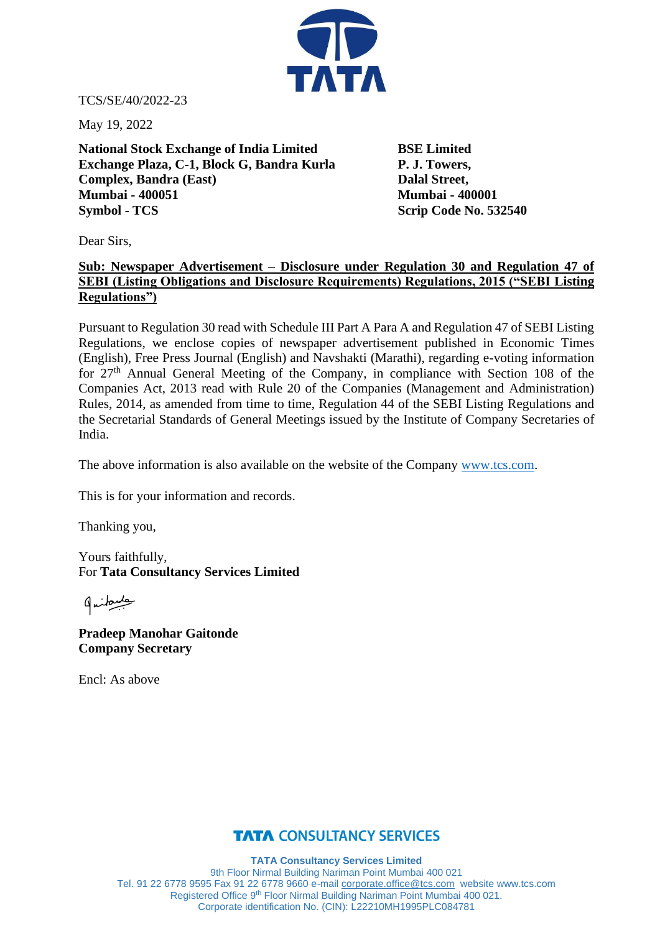

TCS/SE/40/2022-23

May 19, 2022

**National Stock Exchange of India Limited BSE Limited Exchange Plaza, C-1, Block G, Bandra Kurla P. J. Towers, Complex, Bandra (East)** Dalal Street, **Mumbai - 400051 Mumbai - 400001 Symbol - TCS** Scrip Code No. 532540

Dear Sirs,

## **Sub: Newspaper Advertisement – Disclosure under Regulation 30 and Regulation 47 of SEBI (Listing Obligations and Disclosure Requirements) Regulations, 2015 ("SEBI Listing Regulations")**

Pursuant to Regulation 30 read with Schedule III Part A Para A and Regulation 47 of SEBI Listing Regulations, we enclose copies of newspaper advertisement published in Economic Times (English), Free Press Journal (English) and Navshakti (Marathi), regarding e-voting information for 27<sup>th</sup> Annual General Meeting of the Company, in compliance with Section 108 of the Companies Act, 2013 read with Rule 20 of the Companies (Management and Administration) Rules, 2014, as amended from time to time, Regulation 44 of the SEBI Listing Regulations and the Secretarial Standards of General Meetings issued by the Institute of Company Secretaries of India.

The above information is also available on the website of the Company [www.tcs.com.](http://www.tcs.com/)

This is for your information and records.

Thanking you,

Yours faithfully, For **Tata Consultancy Services Limited**

طبيع لمنها

**Pradeep Manohar Gaitonde Company Secretary**

Encl: As above

## **TATA CONSULTANCY SERVICES**

**TATA Consultancy Services Limited** 9th Floor Nirmal Building Nariman Point Mumbai 400 021 Tel. 91 22 6778 9595 Fax 91 22 6778 9660 e-mail [corporate.office@tcs.com](mailto:corporate.office@tcs.com) website www.tcs.com Registered Office 9th Floor Nirmal Building Nariman Point Mumbai 400 021. Corporate identification No. (CIN): L22210MH1995PLC084781